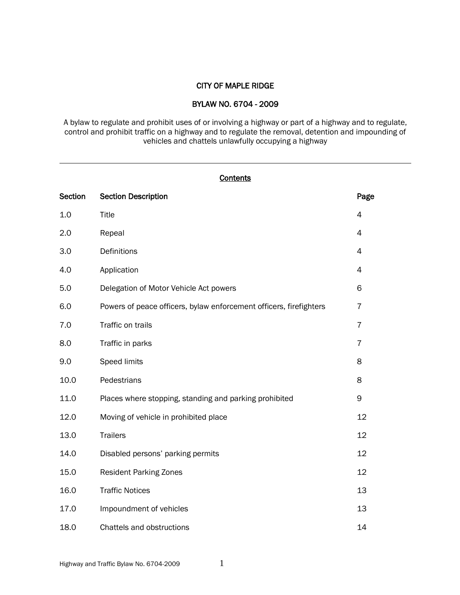### CITY OF MAPLE RIDGE

### BYLAW NO. 6704 - 2009

A bylaw to regulate and prohibit uses of or involving a highway or part of a highway and to regulate, control and prohibit traffic on a highway and to regulate the removal, detention and impounding of vehicles and chattels unlawfully occupying a highway

|                | <b>Contents</b>                                                    |                |  |  |  |
|----------------|--------------------------------------------------------------------|----------------|--|--|--|
| <b>Section</b> | <b>Section Description</b>                                         | Page           |  |  |  |
| 1.0            | Title                                                              | $\overline{4}$ |  |  |  |
| 2.0            | Repeal                                                             | $\overline{4}$ |  |  |  |
| 3.0            | Definitions                                                        | $\overline{4}$ |  |  |  |
| 4.0            | Application                                                        | 4              |  |  |  |
| 5.0            | Delegation of Motor Vehicle Act powers                             | 6              |  |  |  |
| 6.0            | Powers of peace officers, bylaw enforcement officers, firefighters | $\overline{7}$ |  |  |  |
| 7.0            | Traffic on trails                                                  | $\overline{7}$ |  |  |  |
| 8.0            | Traffic in parks                                                   | $\overline{7}$ |  |  |  |
| 9.0            | Speed limits                                                       | 8              |  |  |  |
| 10.0           | Pedestrians                                                        | 8              |  |  |  |
| 11.0           | Places where stopping, standing and parking prohibited             | 9              |  |  |  |
| 12.0           | Moving of vehicle in prohibited place                              | 12             |  |  |  |
| 13.0           | <b>Trailers</b>                                                    | 12             |  |  |  |
| 14.0           | Disabled persons' parking permits                                  | 12             |  |  |  |
| 15.0           | <b>Resident Parking Zones</b>                                      | 12             |  |  |  |
| 16.0           | <b>Traffic Notices</b>                                             | 13             |  |  |  |
| 17.0           | Impoundment of vehicles                                            | 13             |  |  |  |
| 18.0           | Chattels and obstructions                                          | 14             |  |  |  |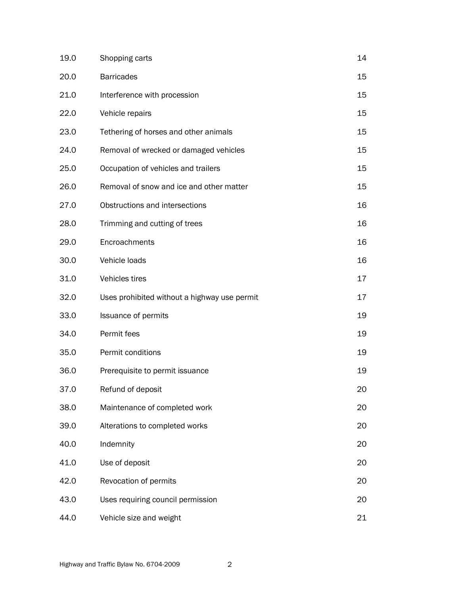| 19.0 | Shopping carts                               | 14 |
|------|----------------------------------------------|----|
| 20.0 | <b>Barricades</b>                            | 15 |
| 21.0 | Interference with procession                 | 15 |
| 22.0 | Vehicle repairs                              | 15 |
| 23.0 | Tethering of horses and other animals        | 15 |
| 24.0 | Removal of wrecked or damaged vehicles       | 15 |
| 25.0 | Occupation of vehicles and trailers          | 15 |
| 26.0 | Removal of snow and ice and other matter     | 15 |
| 27.0 | Obstructions and intersections               | 16 |
| 28.0 | Trimming and cutting of trees                | 16 |
| 29.0 | Encroachments                                | 16 |
| 30.0 | Vehicle loads                                | 16 |
| 31.0 | Vehicles tires                               | 17 |
| 32.0 | Uses prohibited without a highway use permit | 17 |
| 33.0 | Issuance of permits                          | 19 |
| 34.0 | Permit fees                                  | 19 |
| 35.0 | Permit conditions                            | 19 |
| 36.0 | Prerequisite to permit issuance              | 19 |
| 37.0 | Refund of deposit                            | 20 |
| 38.0 | Maintenance of completed work                | 20 |
| 39.0 | Alterations to completed works               | 20 |
| 40.0 | Indemnity                                    | 20 |
| 41.0 | Use of deposit                               | 20 |
| 42.0 | Revocation of permits                        | 20 |
| 43.0 | Uses requiring council permission            | 20 |
| 44.0 | Vehicle size and weight                      | 21 |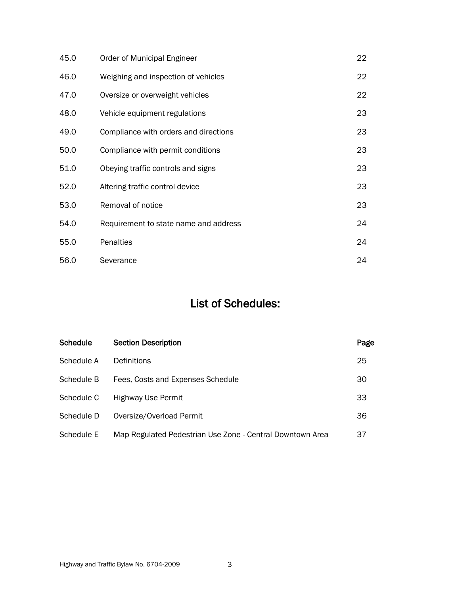| 45.0 | Order of Municipal Engineer           | 22 |
|------|---------------------------------------|----|
| 46.0 | Weighing and inspection of vehicles   | 22 |
| 47.0 | Oversize or overweight vehicles       | 22 |
| 48.0 | Vehicle equipment regulations         | 23 |
| 49.0 | Compliance with orders and directions | 23 |
| 50.0 | Compliance with permit conditions     | 23 |
| 51.0 | Obeying traffic controls and signs    | 23 |
| 52.0 | Altering traffic control device       | 23 |
| 53.0 | Removal of notice                     | 23 |
| 54.0 | Requirement to state name and address | 24 |
| 55.0 | Penalties                             | 24 |
| 56.0 | Severance                             | 24 |

# List of Schedules:

| Schedule   | <b>Section Description</b>                                | Page |
|------------|-----------------------------------------------------------|------|
| Schedule A | Definitions                                               | 25   |
| Schedule B | Fees, Costs and Expenses Schedule                         | 30   |
| Schedule C | <b>Highway Use Permit</b>                                 | 33   |
| Schedule D | Oversize/Overload Permit                                  | 36   |
| Schedule E | Map Regulated Pedestrian Use Zone - Central Downtown Area | 37   |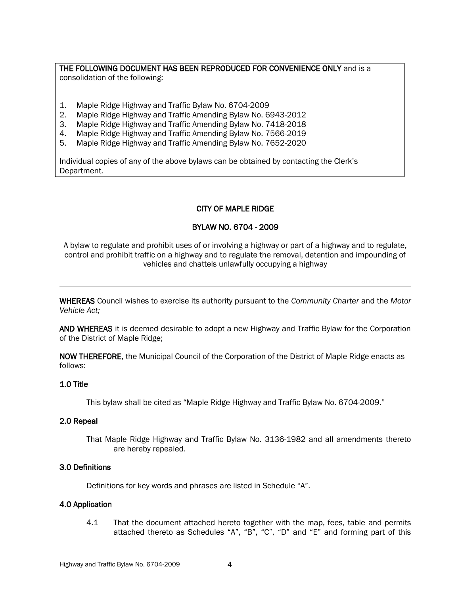### THE FOLLOWING DOCUMENT HAS BEEN REPRODUCED FOR CONVENIENCE ONLY and is a consolidation of the following:

- 1. Maple Ridge Highway and Traffic Bylaw No. 6704-2009
- 2. Maple Ridge Highway and Traffic Amending Bylaw No. 6943-2012
- 3. Maple Ridge Highway and Traffic Amending Bylaw No. 7418-2018
- 4. Maple Ridge Highway and Traffic Amending Bylaw No. 7566-2019
- 5. Maple Ridge Highway and Traffic Amending Bylaw No. 7652-2020

Individual copies of any of the above bylaws can be obtained by contacting the Clerk's Department.

# CITY OF MAPLE RIDGE

### BYLAW NO. 6704 - 2009

A bylaw to regulate and prohibit uses of or involving a highway or part of a highway and to regulate, control and prohibit traffic on a highway and to regulate the removal, detention and impounding of vehicles and chattels unlawfully occupying a highway

WHEREAS Council wishes to exercise its authority pursuant to the *Community Charter* and the *Motor Vehicle Act;*

AND WHEREAS it is deemed desirable to adopt a new Highway and Traffic Bylaw for the Corporation of the District of Maple Ridge;

NOW THEREFORE, the Municipal Council of the Corporation of the District of Maple Ridge enacts as follows:

### 1.0 Title

This bylaw shall be cited as "Maple Ridge Highway and Traffic Bylaw No. 6704-2009."

### 2.0 Repeal

That Maple Ridge Highway and Traffic Bylaw No. 3136-1982 and all amendments thereto are hereby repealed.

### 3.0 Definitions

Definitions for key words and phrases are listed in Schedule "A".

### 4.0 Application

4.1 That the document attached hereto together with the map, fees, table and permits attached thereto as Schedules "A", "B", "C", "D" and "E" and forming part of this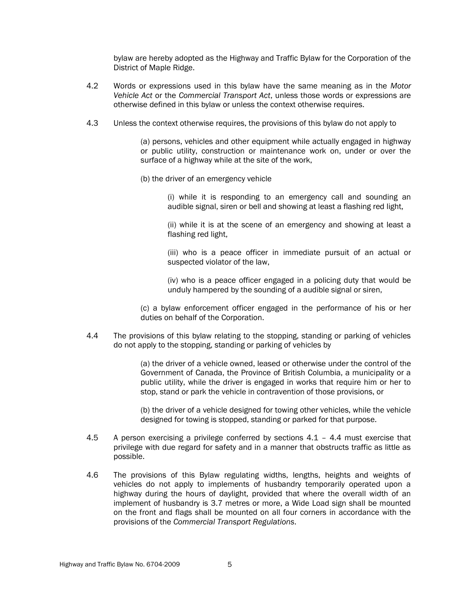bylaw are hereby adopted as the Highway and Traffic Bylaw for the Corporation of the District of Maple Ridge.

- 4.2 Words or expressions used in this bylaw have the same meaning as in the *Motor Vehicle Act* or the *Commercial Transport Act*, unless those words or expressions are otherwise defined in this bylaw or unless the context otherwise requires.
- 4.3 Unless the context otherwise requires, the provisions of this bylaw do not apply to

(a) persons, vehicles and other equipment while actually engaged in highway or public utility, construction or maintenance work on, under or over the surface of a highway while at the site of the work,

(b) the driver of an emergency vehicle

(i) while it is responding to an emergency call and sounding an audible signal, siren or bell and showing at least a flashing red light,

(ii) while it is at the scene of an emergency and showing at least a flashing red light,

(iii) who is a peace officer in immediate pursuit of an actual or suspected violator of the law,

(iv) who is a peace officer engaged in a policing duty that would be unduly hampered by the sounding of a audible signal or siren,

(c) a bylaw enforcement officer engaged in the performance of his or her duties on behalf of the Corporation.

4.4 The provisions of this bylaw relating to the stopping, standing or parking of vehicles do not apply to the stopping, standing or parking of vehicles by

> (a) the driver of a vehicle owned, leased or otherwise under the control of the Government of Canada, the Province of British Columbia, a municipality or a public utility, while the driver is engaged in works that require him or her to stop, stand or park the vehicle in contravention of those provisions, or

> (b) the driver of a vehicle designed for towing other vehicles, while the vehicle designed for towing is stopped, standing or parked for that purpose.

- 4.5 A person exercising a privilege conferred by sections 4.1 4.4 must exercise that privilege with due regard for safety and in a manner that obstructs traffic as little as possible.
- 4.6 The provisions of this Bylaw regulating widths, lengths, heights and weights of vehicles do not apply to implements of husbandry temporarily operated upon a highway during the hours of daylight, provided that where the overall width of an implement of husbandry is 3.7 metres or more, a Wide Load sign shall be mounted on the front and flags shall be mounted on all four corners in accordance with the provisions of the *Commercial Transport Regulations*.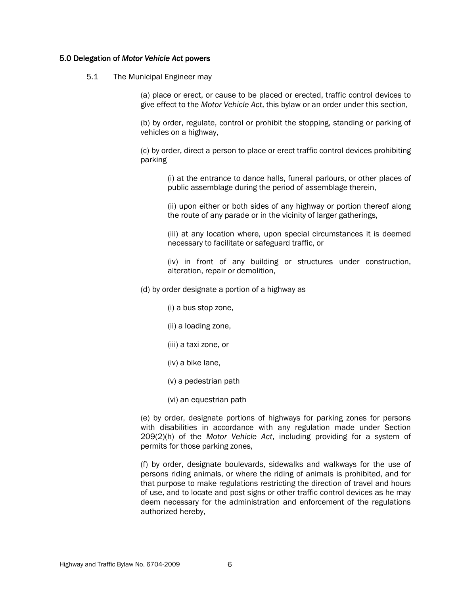### 5.0 Delegation of *Motor Vehicle Act* powers

### 5.1 The Municipal Engineer may

(a) place or erect, or cause to be placed or erected, traffic control devices to give effect to the *Motor Vehicle Act*, this bylaw or an order under this section,

(b) by order, regulate, control or prohibit the stopping, standing or parking of vehicles on a highway,

(c) by order, direct a person to place or erect traffic control devices prohibiting parking

(i) at the entrance to dance halls, funeral parlours, or other places of public assemblage during the period of assemblage therein,

(ii) upon either or both sides of any highway or portion thereof along the route of any parade or in the vicinity of larger gatherings,

(iii) at any location where, upon special circumstances it is deemed necessary to facilitate or safeguard traffic, or

(iv) in front of any building or structures under construction, alteration, repair or demolition,

(d) by order designate a portion of a highway as

- (i) a bus stop zone,
- (ii) a loading zone,
- (iii) a taxi zone, or
- (iv) a bike lane,
- (v) a pedestrian path
- (vi) an equestrian path

(e) by order, designate portions of highways for parking zones for persons with disabilities in accordance with any regulation made under Section 209(2)(h) of the *Motor Vehicle Act*, including providing for a system of permits for those parking zones,

(f) by order, designate boulevards, sidewalks and walkways for the use of persons riding animals, or where the riding of animals is prohibited, and for that purpose to make regulations restricting the direction of travel and hours of use, and to locate and post signs or other traffic control devices as he may deem necessary for the administration and enforcement of the regulations authorized hereby,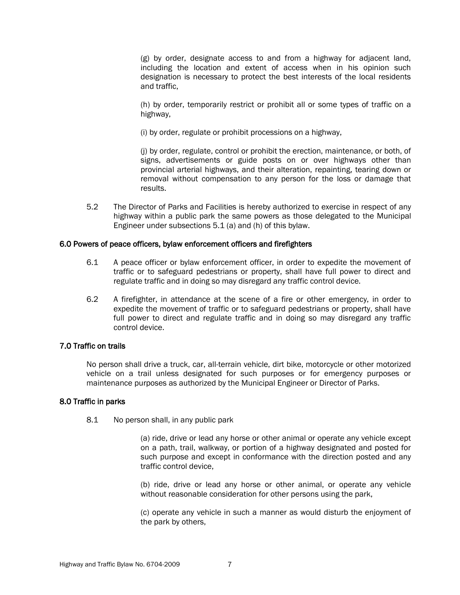(g) by order, designate access to and from a highway for adjacent land, including the location and extent of access when in his opinion such designation is necessary to protect the best interests of the local residents and traffic,

(h) by order, temporarily restrict or prohibit all or some types of traffic on a highway,

(i) by order, regulate or prohibit processions on a highway,

(j) by order, regulate, control or prohibit the erection, maintenance, or both, of signs, advertisements or guide posts on or over highways other than provincial arterial highways, and their alteration, repainting, tearing down or removal without compensation to any person for the loss or damage that results.

5.2 The Director of Parks and Facilities is hereby authorized to exercise in respect of any highway within a public park the same powers as those delegated to the Municipal Engineer under subsections 5.1 (a) and (h) of this bylaw.

### 6.0 Powers of peace officers, bylaw enforcement officers and firefighters

- 6.1 A peace officer or bylaw enforcement officer, in order to expedite the movement of traffic or to safeguard pedestrians or property, shall have full power to direct and regulate traffic and in doing so may disregard any traffic control device.
- 6.2 A firefighter, in attendance at the scene of a fire or other emergency, in order to expedite the movement of traffic or to safeguard pedestrians or property, shall have full power to direct and regulate traffic and in doing so may disregard any traffic control device.

### 7.0 Traffic on trails

No person shall drive a truck, car, all-terrain vehicle, dirt bike, motorcycle or other motorized vehicle on a trail unless designated for such purposes or for emergency purposes or maintenance purposes as authorized by the Municipal Engineer or Director of Parks.

### 8.0 Traffic in parks

8.1 No person shall, in any public park

(a) ride, drive or lead any horse or other animal or operate any vehicle except on a path, trail, walkway, or portion of a highway designated and posted for such purpose and except in conformance with the direction posted and any traffic control device,

(b) ride, drive or lead any horse or other animal, or operate any vehicle without reasonable consideration for other persons using the park,

(c) operate any vehicle in such a manner as would disturb the enjoyment of the park by others,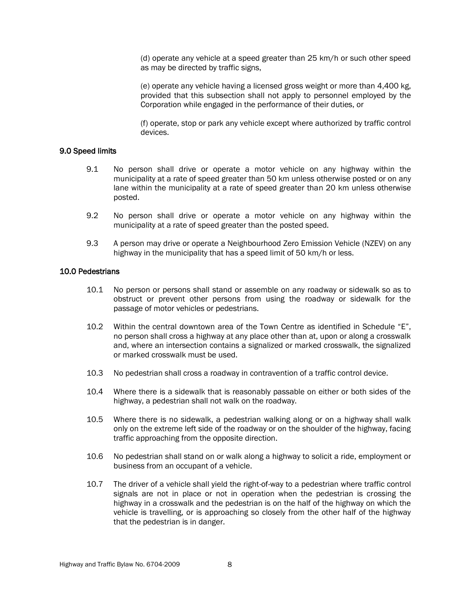(d) operate any vehicle at a speed greater than 25 km/h or such other speed as may be directed by traffic signs,

(e) operate any vehicle having a licensed gross weight or more than 4,400 kg, provided that this subsection shall not apply to personnel employed by the Corporation while engaged in the performance of their duties, or

(f) operate, stop or park any vehicle except where authorized by traffic control devices.

### 9.0 Speed limits

- 9.1 No person shall drive or operate a motor vehicle on any highway within the municipality at a rate of speed greater than 50 km unless otherwise posted or on any lane within the municipality at a rate of speed greater than 20 km unless otherwise posted.
- 9.2 No person shall drive or operate a motor vehicle on any highway within the municipality at a rate of speed greater than the posted speed.
- 9.3 A person may drive or operate a Neighbourhood Zero Emission Vehicle (NZEV) on any highway in the municipality that has a speed limit of 50 km/h or less.

### 10.0 Pedestrians

- 10.1 No person or persons shall stand or assemble on any roadway or sidewalk so as to obstruct or prevent other persons from using the roadway or sidewalk for the passage of motor vehicles or pedestrians.
- 10.2 Within the central downtown area of the Town Centre as identified in Schedule "E", no person shall cross a highway at any place other than at, upon or along a crosswalk and, where an intersection contains a signalized or marked crosswalk, the signalized or marked crosswalk must be used.
- 10.3 No pedestrian shall cross a roadway in contravention of a traffic control device.
- 10.4 Where there is a sidewalk that is reasonably passable on either or both sides of the highway, a pedestrian shall not walk on the roadway.
- 10.5 Where there is no sidewalk, a pedestrian walking along or on a highway shall walk only on the extreme left side of the roadway or on the shoulder of the highway, facing traffic approaching from the opposite direction.
- 10.6 No pedestrian shall stand on or walk along a highway to solicit a ride, employment or business from an occupant of a vehicle.
- 10.7 The driver of a vehicle shall yield the right-of-way to a pedestrian where traffic control signals are not in place or not in operation when the pedestrian is crossing the highway in a crosswalk and the pedestrian is on the half of the highway on which the vehicle is travelling, or is approaching so closely from the other half of the highway that the pedestrian is in danger.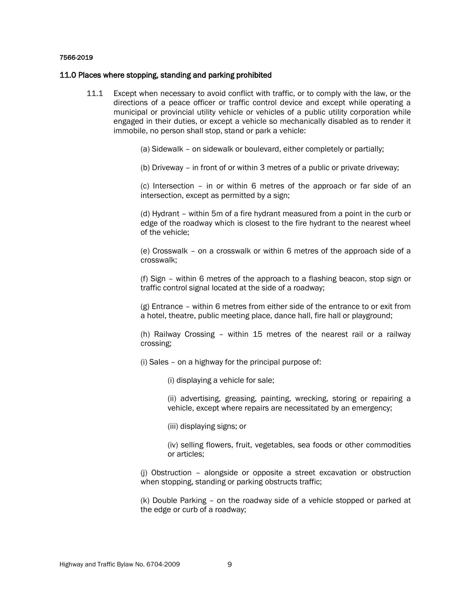#### 7566-2019

#### 11.0 Places where stopping, standing and parking prohibited

- 11.1 Except when necessary to avoid conflict with traffic, or to comply with the law, or the directions of a peace officer or traffic control device and except while operating a municipal or provincial utility vehicle or vehicles of a public utility corporation while engaged in their duties, or except a vehicle so mechanically disabled as to render it immobile, no person shall stop, stand or park a vehicle:
	- (a) Sidewalk on sidewalk or boulevard, either completely or partially;
	- (b) Driveway in front of or within 3 metres of a public or private driveway;

(c) Intersection – in or within 6 metres of the approach or far side of an intersection, except as permitted by a sign;

(d) Hydrant – within 5m of a fire hydrant measured from a point in the curb or edge of the roadway which is closest to the fire hydrant to the nearest wheel of the vehicle;

(e) Crosswalk – on a crosswalk or within 6 metres of the approach side of a crosswalk;

(f) Sign – within 6 metres of the approach to a flashing beacon, stop sign or traffic control signal located at the side of a roadway;

(g) Entrance – within 6 metres from either side of the entrance to or exit from a hotel, theatre, public meeting place, dance hall, fire hall or playground;

(h) Railway Crossing – within 15 metres of the nearest rail or a railway crossing;

- (i) Sales on a highway for the principal purpose of:
	- (i) displaying a vehicle for sale;

(ii) advertising, greasing, painting, wrecking, storing or repairing a vehicle, except where repairs are necessitated by an emergency;

(iii) displaying signs; or

(iv) selling flowers, fruit, vegetables, sea foods or other commodities or articles;

(j) Obstruction – alongside or opposite a street excavation or obstruction when stopping, standing or parking obstructs traffic;

(k) Double Parking – on the roadway side of a vehicle stopped or parked at the edge or curb of a roadway;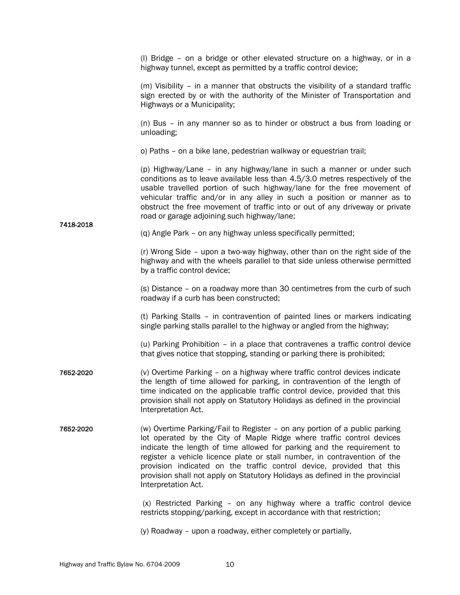(l) Bridge – on a bridge or other elevated structure on a highway, or in a highway tunnel, except as permitted by a traffic control device;

(m) Visibility – in a manner that obstructs the visibility of a standard traffic sign erected by or with the authority of the Minister of Transportation and Highways or a Municipality;

(n) Bus – in any manner so as to hinder or obstruct a bus from loading or unloading;

o) Paths – on a bike lane, pedestrian walkway or equestrian trail;

(p) Highway/Lane – in any highway/lane in such a manner or under such conditions as to leave available less than 4.5/3.0 metres respectively of the usable travelled portion of such highway/lane for the free movement of vehicular traffic and/or in any alley in such a position or manner as to obstruct the free movement of traffic into or out of any driveway or private road or garage adjoining such highway/lane;

(q) Angle Park – on any highway unless specifically permitted;

(r) Wrong Side – upon a two-way highway, other than on the right side of the highway and with the wheels parallel to that side unless otherwise permitted by a traffic control device;

(s) Distance – on a roadway more than 30 centimetres from the curb of such roadway if a curb has been constructed;

(t) Parking Stalls – in contravention of painted lines or markers indicating single parking stalls parallel to the highway or angled from the highway;

(u) Parking Prohibition – in a place that contravenes a traffic control device that gives notice that stopping, standing or parking there is prohibited;

- 7652-2020 (v) Overtime Parking on a highway where traffic control devices indicate the length of time allowed for parking, in contravention of the length of time indicated on the applicable traffic control device, provided that this provision shall not apply on Statutory Holidays as defined in the provincial Interpretation Act.
- 7652-2020 (w) Overtime Parking/Fail to Register on any portion of a public parking lot operated by the City of Maple Ridge where traffic control devices indicate the length of time allowed for parking and the requirement to register a vehicle licence plate or stall number, in contravention of the provision indicated on the traffic control device, provided that this provision shall not apply on Statutory Holidays as defined in the provincial Interpretation Act.

(x) Restricted Parking – on any highway where a traffic control device restricts stopping/parking, except in accordance with that restriction;

(y) Roadway – upon a roadway, either completely or partially,

7418-2018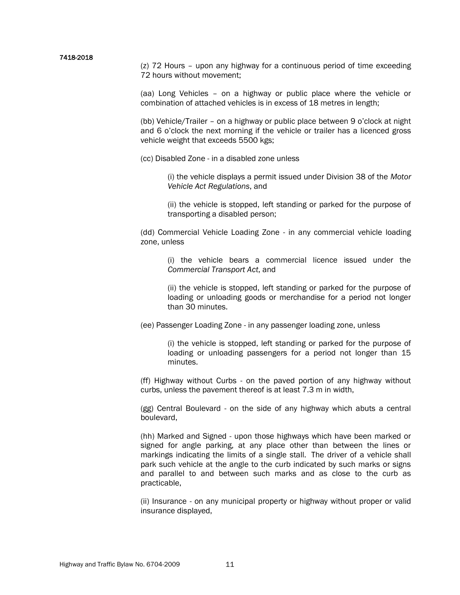#### 7418-2018

(z) 72 Hours – upon any highway for a continuous period of time exceeding 72 hours without movement;

(aa) Long Vehicles – on a highway or public place where the vehicle or combination of attached vehicles is in excess of 18 metres in length;

(bb) Vehicle/Trailer – on a highway or public place between 9 o'clock at night and 6 o'clock the next morning if the vehicle or trailer has a licenced gross vehicle weight that exceeds 5500 kgs;

(cc) Disabled Zone - in a disabled zone unless

(i) the vehicle displays a permit issued under Division 38 of the *Motor Vehicle Act Regulations*, and

(ii) the vehicle is stopped, left standing or parked for the purpose of transporting a disabled person;

(dd) Commercial Vehicle Loading Zone - in any commercial vehicle loading zone, unless

(i) the vehicle bears a commercial licence issued under the *Commercial Transport Act*, and

(ii) the vehicle is stopped, left standing or parked for the purpose of loading or unloading goods or merchandise for a period not longer than 30 minutes.

(ee) Passenger Loading Zone - in any passenger loading zone, unless

(i) the vehicle is stopped, left standing or parked for the purpose of loading or unloading passengers for a period not longer than 15 minutes.

(ff) Highway without Curbs - on the paved portion of any highway without curbs, unless the pavement thereof is at least 7.3 m in width,

(gg) Central Boulevard - on the side of any highway which abuts a central boulevard,

(hh) Marked and Signed - upon those highways which have been marked or signed for angle parking, at any place other than between the lines or markings indicating the limits of a single stall. The driver of a vehicle shall park such vehicle at the angle to the curb indicated by such marks or signs and parallel to and between such marks and as close to the curb as practicable,

(ii) Insurance - on any municipal property or highway without proper or valid insurance displayed,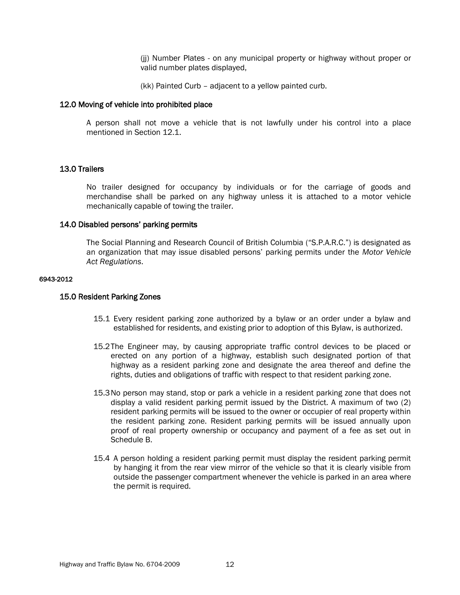(jj) Number Plates - on any municipal property or highway without proper or valid number plates displayed,

(kk) Painted Curb – adjacent to a yellow painted curb.

### 12.0 Moving of vehicle into prohibited place

A person shall not move a vehicle that is not lawfully under his control into a place mentioned in Section 12.1.

### 13.0 Trailers

No trailer designed for occupancy by individuals or for the carriage of goods and merchandise shall be parked on any highway unless it is attached to a motor vehicle mechanically capable of towing the trailer.

### 14.0 Disabled persons' parking permits

The Social Planning and Research Council of British Columbia ("S.P.A.R.C.") is designated as an organization that may issue disabled persons' parking permits under the *Motor Vehicle Act Regulations*.

#### 6943-2012

### 15.0 Resident Parking Zones

- 15.1 Every resident parking zone authorized by a bylaw or an order under a bylaw and established for residents, and existing prior to adoption of this Bylaw, is authorized.
- 15.2The Engineer may, by causing appropriate traffic control devices to be placed or erected on any portion of a highway, establish such designated portion of that highway as a resident parking zone and designate the area thereof and define the rights, duties and obligations of traffic with respect to that resident parking zone.
- 15.3No person may stand, stop or park a vehicle in a resident parking zone that does not display a valid resident parking permit issued by the District. A maximum of two (2) resident parking permits will be issued to the owner or occupier of real property within the resident parking zone. Resident parking permits will be issued annually upon proof of real property ownership or occupancy and payment of a fee as set out in Schedule B.
- 15.4 A person holding a resident parking permit must display the resident parking permit by hanging it from the rear view mirror of the vehicle so that it is clearly visible from outside the passenger compartment whenever the vehicle is parked in an area where the permit is required.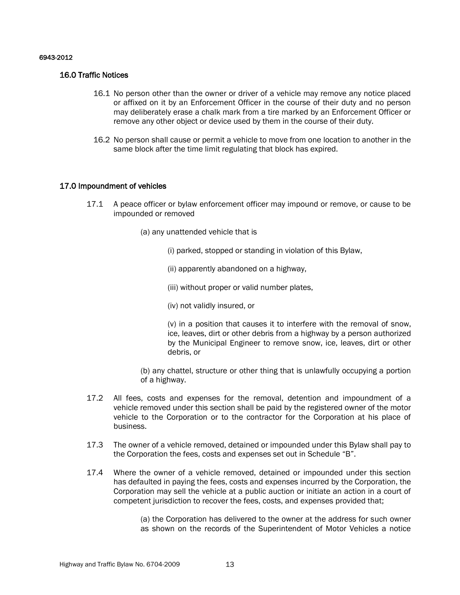### 6943-2012

### 16.0 Traffic Notices

- 16.1 No person other than the owner or driver of a vehicle may remove any notice placed or affixed on it by an Enforcement Officer in the course of their duty and no person may deliberately erase a chalk mark from a tire marked by an Enforcement Officer or remove any other object or device used by them in the course of their duty.
- 16.2 No person shall cause or permit a vehicle to move from one location to another in the same block after the time limit regulating that block has expired.

### 17.0 Impoundment of vehicles

- 17.1 A peace officer or bylaw enforcement officer may impound or remove, or cause to be impounded or removed
	- (a) any unattended vehicle that is
		- (i) parked, stopped or standing in violation of this Bylaw,
		- (ii) apparently abandoned on a highway,
		- (iii) without proper or valid number plates,
		- (iv) not validly insured, or

(v) in a position that causes it to interfere with the removal of snow, ice, leaves, dirt or other debris from a highway by a person authorized by the Municipal Engineer to remove snow, ice, leaves, dirt or other debris, or

(b) any chattel, structure or other thing that is unlawfully occupying a portion of a highway.

- 17.2 All fees, costs and expenses for the removal, detention and impoundment of a vehicle removed under this section shall be paid by the registered owner of the motor vehicle to the Corporation or to the contractor for the Corporation at his place of business.
- 17.3 The owner of a vehicle removed, detained or impounded under this Bylaw shall pay to the Corporation the fees, costs and expenses set out in Schedule "B".
- 17.4 Where the owner of a vehicle removed, detained or impounded under this section has defaulted in paying the fees, costs and expenses incurred by the Corporation, the Corporation may sell the vehicle at a public auction or initiate an action in a court of competent jurisdiction to recover the fees, costs, and expenses provided that;

(a) the Corporation has delivered to the owner at the address for such owner as shown on the records of the Superintendent of Motor Vehicles a notice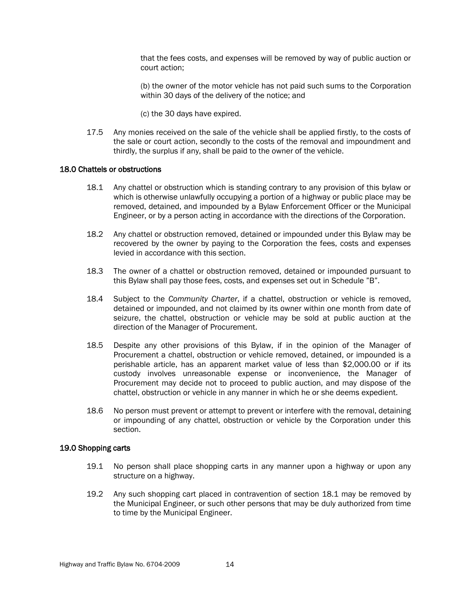that the fees costs, and expenses will be removed by way of public auction or court action;

(b) the owner of the motor vehicle has not paid such sums to the Corporation within 30 days of the delivery of the notice; and

(c) the 30 days have expired.

17.5 Any monies received on the sale of the vehicle shall be applied firstly, to the costs of the sale or court action, secondly to the costs of the removal and impoundment and thirdly, the surplus if any, shall be paid to the owner of the vehicle.

### 18.0 Chattels or obstructions

- 18.1 Any chattel or obstruction which is standing contrary to any provision of this bylaw or which is otherwise unlawfully occupying a portion of a highway or public place may be removed, detained, and impounded by a Bylaw Enforcement Officer or the Municipal Engineer, or by a person acting in accordance with the directions of the Corporation.
- 18.2 Any chattel or obstruction removed, detained or impounded under this Bylaw may be recovered by the owner by paying to the Corporation the fees, costs and expenses levied in accordance with this section.
- 18.3 The owner of a chattel or obstruction removed, detained or impounded pursuant to this Bylaw shall pay those fees, costs, and expenses set out in Schedule "B".
- 18.4 Subject to the *Community Charter*, if a chattel, obstruction or vehicle is removed, detained or impounded, and not claimed by its owner within one month from date of seizure, the chattel, obstruction or vehicle may be sold at public auction at the direction of the Manager of Procurement.
- 18.5 Despite any other provisions of this Bylaw, if in the opinion of the Manager of Procurement a chattel, obstruction or vehicle removed, detained, or impounded is a perishable article, has an apparent market value of less than \$2,000.00 or if its custody involves unreasonable expense or inconvenience, the Manager of Procurement may decide not to proceed to public auction, and may dispose of the chattel, obstruction or vehicle in any manner in which he or she deems expedient.
- 18.6 No person must prevent or attempt to prevent or interfere with the removal, detaining or impounding of any chattel, obstruction or vehicle by the Corporation under this section.

### 19.0 Shopping carts

- 19.1 No person shall place shopping carts in any manner upon a highway or upon any structure on a highway.
- 19.2 Any such shopping cart placed in contravention of section 18.1 may be removed by the Municipal Engineer, or such other persons that may be duly authorized from time to time by the Municipal Engineer.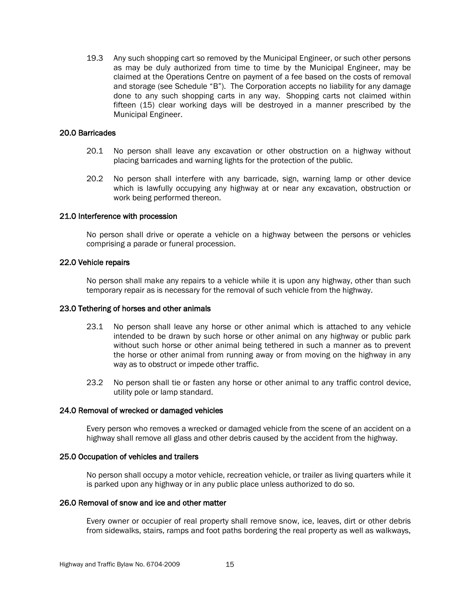19.3 Any such shopping cart so removed by the Municipal Engineer, or such other persons as may be duly authorized from time to time by the Municipal Engineer, may be claimed at the Operations Centre on payment of a fee based on the costs of removal and storage (see Schedule "B"). The Corporation accepts no liability for any damage done to any such shopping carts in any way. Shopping carts not claimed within fifteen (15) clear working days will be destroyed in a manner prescribed by the Municipal Engineer.

### 20.0 Barricades

- 20.1 No person shall leave any excavation or other obstruction on a highway without placing barricades and warning lights for the protection of the public.
- 20.2 No person shall interfere with any barricade, sign, warning lamp or other device which is lawfully occupying any highway at or near any excavation, obstruction or work being performed thereon.

### 21.0 Interference with procession

No person shall drive or operate a vehicle on a highway between the persons or vehicles comprising a parade or funeral procession.

### 22.0 Vehicle repairs

No person shall make any repairs to a vehicle while it is upon any highway, other than such temporary repair as is necessary for the removal of such vehicle from the highway.

### 23.0 Tethering of horses and other animals

- 23.1 No person shall leave any horse or other animal which is attached to any vehicle intended to be drawn by such horse or other animal on any highway or public park without such horse or other animal being tethered in such a manner as to prevent the horse or other animal from running away or from moving on the highway in any way as to obstruct or impede other traffic.
- 23.2 No person shall tie or fasten any horse or other animal to any traffic control device, utility pole or lamp standard.

### 24.0 Removal of wrecked or damaged vehicles

Every person who removes a wrecked or damaged vehicle from the scene of an accident on a highway shall remove all glass and other debris caused by the accident from the highway.

### 25.0 Occupation of vehicles and trailers

No person shall occupy a motor vehicle, recreation vehicle, or trailer as living quarters while it is parked upon any highway or in any public place unless authorized to do so.

### 26.0 Removal of snow and ice and other matter

Every owner or occupier of real property shall remove snow, ice, leaves, dirt or other debris from sidewalks, stairs, ramps and foot paths bordering the real property as well as walkways,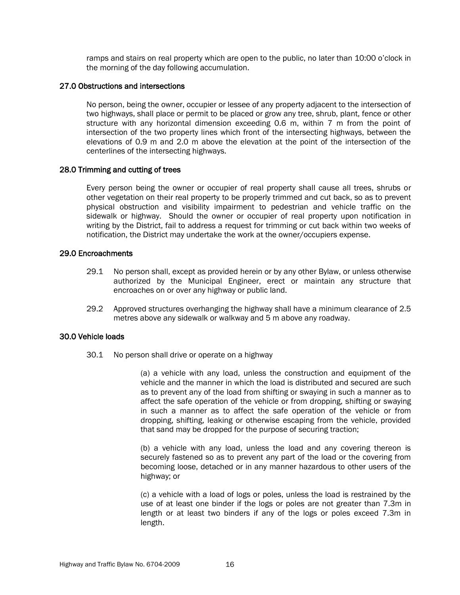ramps and stairs on real property which are open to the public, no later than 10:00 o'clock in the morning of the day following accumulation.

### 27.0 Obstructions and intersections

No person, being the owner, occupier or lessee of any property adjacent to the intersection of two highways, shall place or permit to be placed or grow any tree, shrub, plant, fence or other structure with any horizontal dimension exceeding 0.6 m, within 7 m from the point of intersection of the two property lines which front of the intersecting highways, between the elevations of 0.9 m and 2.0 m above the elevation at the point of the intersection of the centerlines of the intersecting highways.

### 28.0 Trimming and cutting of trees

Every person being the owner or occupier of real property shall cause all trees, shrubs or other vegetation on their real property to be properly trimmed and cut back, so as to prevent physical obstruction and visibility impairment to pedestrian and vehicle traffic on the sidewalk or highway. Should the owner or occupier of real property upon notification in writing by the District, fail to address a request for trimming or cut back within two weeks of notification, the District may undertake the work at the owner/occupiers expense.

### 29.0 Encroachments

- 29.1 No person shall, except as provided herein or by any other Bylaw, or unless otherwise authorized by the Municipal Engineer, erect or maintain any structure that encroaches on or over any highway or public land.
- 29.2 Approved structures overhanging the highway shall have a minimum clearance of 2.5 metres above any sidewalk or walkway and 5 m above any roadway.

### 30.0 Vehicle loads

30.1 No person shall drive or operate on a highway

(a) a vehicle with any load, unless the construction and equipment of the vehicle and the manner in which the load is distributed and secured are such as to prevent any of the load from shifting or swaying in such a manner as to affect the safe operation of the vehicle or from dropping, shifting or swaying in such a manner as to affect the safe operation of the vehicle or from dropping, shifting, leaking or otherwise escaping from the vehicle, provided that sand may be dropped for the purpose of securing traction;

(b) a vehicle with any load, unless the load and any covering thereon is securely fastened so as to prevent any part of the load or the covering from becoming loose, detached or in any manner hazardous to other users of the highway; or

(c) a vehicle with a load of logs or poles, unless the load is restrained by the use of at least one binder if the logs or poles are not greater than 7.3m in length or at least two binders if any of the logs or poles exceed 7.3m in length.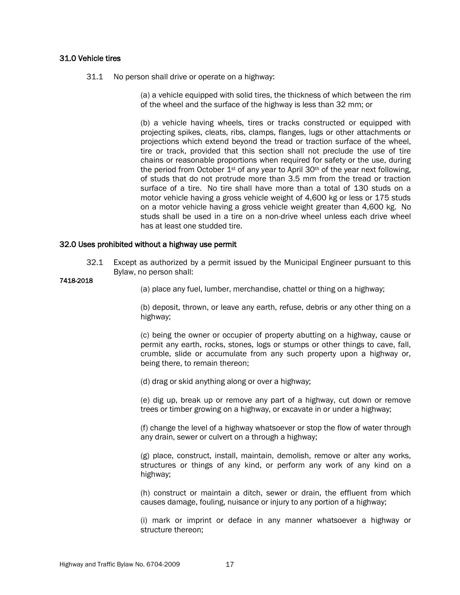### 31.0 Vehicle tires

31.1 No person shall drive or operate on a highway:

(a) a vehicle equipped with solid tires, the thickness of which between the rim of the wheel and the surface of the highway is less than 32 mm; or

(b) a vehicle having wheels, tires or tracks constructed or equipped with projecting spikes, cleats, ribs, clamps, flanges, lugs or other attachments or projections which extend beyond the tread or traction surface of the wheel, tire or track, provided that this section shall not preclude the use of tire chains or reasonable proportions when required for safety or the use, during the period from October  $1^{st}$  of any year to April 30<sup>th</sup> of the year next following, of studs that do not protrude more than 3.5 mm from the tread or traction surface of a tire. No tire shall have more than a total of 130 studs on a motor vehicle having a gross vehicle weight of 4,600 kg or less or 175 studs on a motor vehicle having a gross vehicle weight greater than 4,600 kg. No studs shall be used in a tire on a non-drive wheel unless each drive wheel has at least one studded tire.

### 32.0 Uses prohibited without a highway use permit

32.1 Except as authorized by a permit issued by the Municipal Engineer pursuant to this Bylaw, no person shall:

#### 7418-2018

(a) place any fuel, lumber, merchandise, chattel or thing on a highway;

(b) deposit, thrown, or leave any earth, refuse, debris or any other thing on a highway;

(c) being the owner or occupier of property abutting on a highway, cause or permit any earth, rocks, stones, logs or stumps or other things to cave, fall, crumble, slide or accumulate from any such property upon a highway or, being there, to remain thereon;

(d) drag or skid anything along or over a highway;

(e) dig up, break up or remove any part of a highway, cut down or remove trees or timber growing on a highway, or excavate in or under a highway;

(f) change the level of a highway whatsoever or stop the flow of water through any drain, sewer or culvert on a through a highway;

(g) place, construct, install, maintain, demolish, remove or alter any works, structures or things of any kind, or perform any work of any kind on a highway;

(h) construct or maintain a ditch, sewer or drain, the effluent from which causes damage, fouling, nuisance or injury to any portion of a highway;

(i) mark or imprint or deface in any manner whatsoever a highway or structure thereon;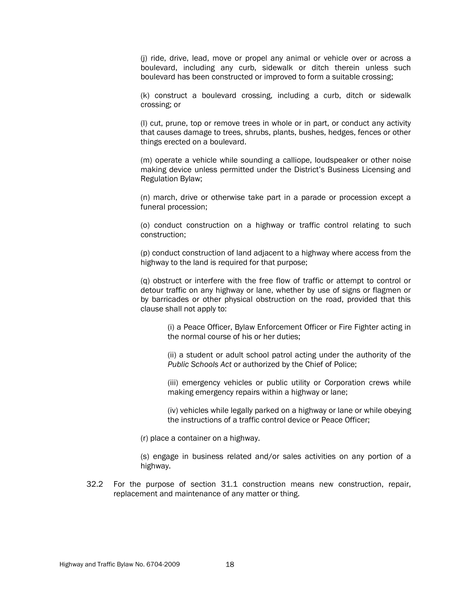(j) ride, drive, lead, move or propel any animal or vehicle over or across a boulevard, including any curb, sidewalk or ditch therein unless such boulevard has been constructed or improved to form a suitable crossing;

(k) construct a boulevard crossing, including a curb, ditch or sidewalk crossing; or

(l) cut, prune, top or remove trees in whole or in part, or conduct any activity that causes damage to trees, shrubs, plants, bushes, hedges, fences or other things erected on a boulevard.

(m) operate a vehicle while sounding a calliope, loudspeaker or other noise making device unless permitted under the District's Business Licensing and Regulation Bylaw;

(n) march, drive or otherwise take part in a parade or procession except a funeral procession;

(o) conduct construction on a highway or traffic control relating to such construction;

(p) conduct construction of land adjacent to a highway where access from the highway to the land is required for that purpose;

(q) obstruct or interfere with the free flow of traffic or attempt to control or detour traffic on any highway or lane, whether by use of signs or flagmen or by barricades or other physical obstruction on the road, provided that this clause shall not apply to:

(i) a Peace Officer, Bylaw Enforcement Officer or Fire Fighter acting in the normal course of his or her duties;

(ii) a student or adult school patrol acting under the authority of the *Public Schools Act* or authorized by the Chief of Police;

(iii) emergency vehicles or public utility or Corporation crews while making emergency repairs within a highway or lane;

(iv) vehicles while legally parked on a highway or lane or while obeying the instructions of a traffic control device or Peace Officer;

(r) place a container on a highway.

(s) engage in business related and/or sales activities on any portion of a highway.

32.2 For the purpose of section 31.1 construction means new construction, repair, replacement and maintenance of any matter or thing.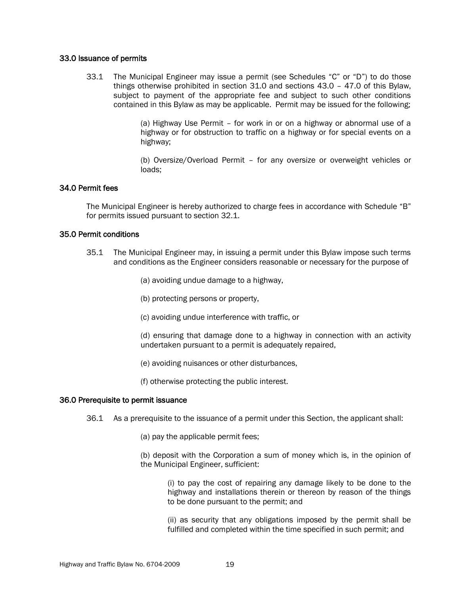### 33.0 Issuance of permits

33.1 The Municipal Engineer may issue a permit (see Schedules "C" or "D") to do those things otherwise prohibited in section 31.0 and sections 43.0 – 47.0 of this Bylaw, subject to payment of the appropriate fee and subject to such other conditions contained in this Bylaw as may be applicable. Permit may be issued for the following;

> (a) Highway Use Permit – for work in or on a highway or abnormal use of a highway or for obstruction to traffic on a highway or for special events on a highway;

> (b) Oversize/Overload Permit – for any oversize or overweight vehicles or loads;

### 34.0 Permit fees

The Municipal Engineer is hereby authorized to charge fees in accordance with Schedule "B" for permits issued pursuant to section 32.1.

### 35.0 Permit conditions

- 35.1 The Municipal Engineer may, in issuing a permit under this Bylaw impose such terms and conditions as the Engineer considers reasonable or necessary for the purpose of
	- (a) avoiding undue damage to a highway,
	- (b) protecting persons or property,
	- (c) avoiding undue interference with traffic, or
	- (d) ensuring that damage done to a highway in connection with an activity undertaken pursuant to a permit is adequately repaired,
	- (e) avoiding nuisances or other disturbances,
	- (f) otherwise protecting the public interest.

### 36.0 Prerequisite to permit issuance

- 36.1 As a prerequisite to the issuance of a permit under this Section, the applicant shall:
	- (a) pay the applicable permit fees;
	- (b) deposit with the Corporation a sum of money which is, in the opinion of the Municipal Engineer, sufficient:

(i) to pay the cost of repairing any damage likely to be done to the highway and installations therein or thereon by reason of the things to be done pursuant to the permit; and

(ii) as security that any obligations imposed by the permit shall be fulfilled and completed within the time specified in such permit; and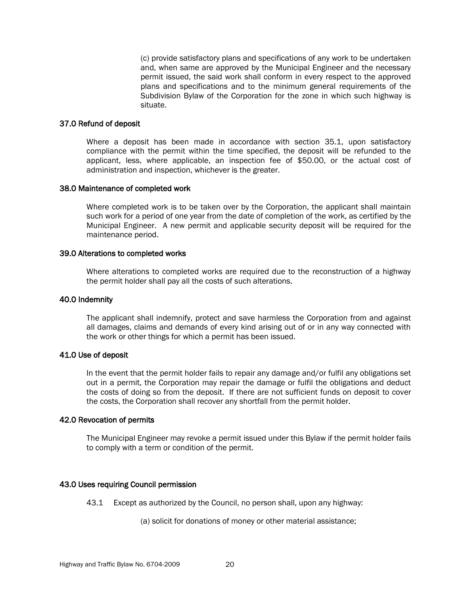(c) provide satisfactory plans and specifications of any work to be undertaken and, when same are approved by the Municipal Engineer and the necessary permit issued, the said work shall conform in every respect to the approved plans and specifications and to the minimum general requirements of the Subdivision Bylaw of the Corporation for the zone in which such highway is situate.

### 37.0 Refund of deposit

Where a deposit has been made in accordance with section 35.1, upon satisfactory compliance with the permit within the time specified, the deposit will be refunded to the applicant, less, where applicable, an inspection fee of \$50.00, or the actual cost of administration and inspection, whichever is the greater.

### 38.0 Maintenance of completed work

Where completed work is to be taken over by the Corporation, the applicant shall maintain such work for a period of one year from the date of completion of the work, as certified by the Municipal Engineer. A new permit and applicable security deposit will be required for the maintenance period.

### 39.0 Alterations to completed works

Where alterations to completed works are required due to the reconstruction of a highway the permit holder shall pay all the costs of such alterations.

### 40.0 Indemnity

The applicant shall indemnify, protect and save harmless the Corporation from and against all damages, claims and demands of every kind arising out of or in any way connected with the work or other things for which a permit has been issued.

### 41.0 Use of deposit

In the event that the permit holder fails to repair any damage and/or fulfil any obligations set out in a permit, the Corporation may repair the damage or fulfil the obligations and deduct the costs of doing so from the deposit. If there are not sufficient funds on deposit to cover the costs, the Corporation shall recover any shortfall from the permit holder.

### 42.0 Revocation of permits

The Municipal Engineer may revoke a permit issued under this Bylaw if the permit holder fails to comply with a term or condition of the permit.

### 43.0 Uses requiring Council permission

43.1 Except as authorized by the Council, no person shall, upon any highway:

(a) solicit for donations of money or other material assistance;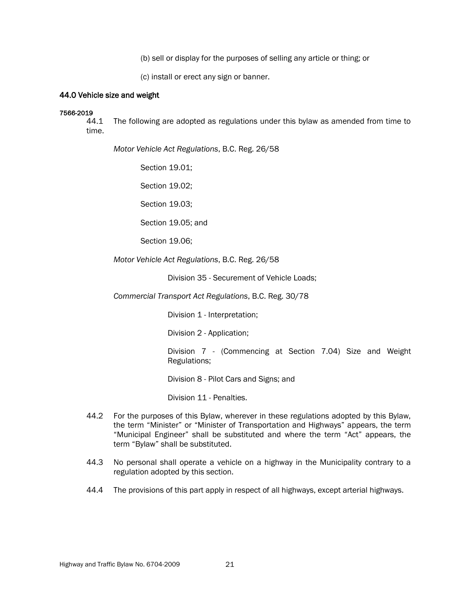(b) sell or display for the purposes of selling any article or thing; or

(c) install or erect any sign or banner.

### 44.0 Vehicle size and weight

### 7566-2019

44.1 The following are adopted as regulations under this bylaw as amended from time to time.

*Motor Vehicle Act Regulations*, B.C. Reg. 26/58

Section 19.01;

Section 19.02;

Section 19.03;

Section 19.05; and

Section 19.06;

*Motor Vehicle Act Regulations*, B.C. Reg. 26/58

Division 35 - Securement of Vehicle Loads;

*Commercial Transport Act Regulations*, B.C. Reg. 30/78

Division 1 - Interpretation;

Division 2 - Application;

Division 7 - (Commencing at Section 7.04) Size and Weight Regulations;

Division 8 - Pilot Cars and Signs; and

Division 11 - Penalties.

- 44.2 For the purposes of this Bylaw, wherever in these regulations adopted by this Bylaw, the term "Minister" or "Minister of Transportation and Highways" appears, the term "Municipal Engineer" shall be substituted and where the term "Act" appears, the term "Bylaw" shall be substituted.
- 44.3 No personal shall operate a vehicle on a highway in the Municipality contrary to a regulation adopted by this section.
- 44.4 The provisions of this part apply in respect of all highways, except arterial highways.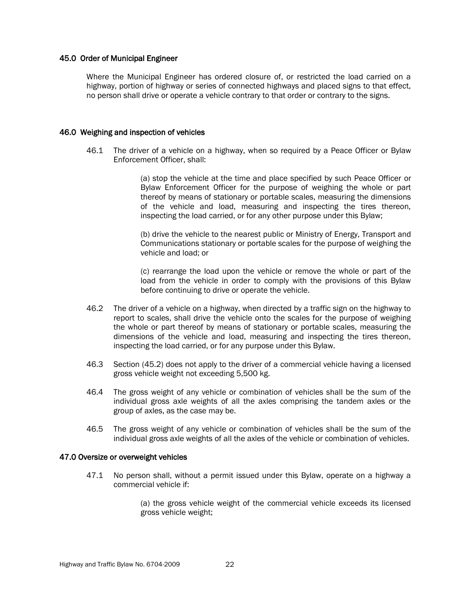### 45.0 Order of Municipal Engineer

Where the Municipal Engineer has ordered closure of, or restricted the load carried on a highway, portion of highway or series of connected highways and placed signs to that effect, no person shall drive or operate a vehicle contrary to that order or contrary to the signs.

### 46.0 Weighing and inspection of vehicles

46.1 The driver of a vehicle on a highway, when so required by a Peace Officer or Bylaw Enforcement Officer, shall:

> (a) stop the vehicle at the time and place specified by such Peace Officer or Bylaw Enforcement Officer for the purpose of weighing the whole or part thereof by means of stationary or portable scales, measuring the dimensions of the vehicle and load, measuring and inspecting the tires thereon, inspecting the load carried, or for any other purpose under this Bylaw;

> (b) drive the vehicle to the nearest public or Ministry of Energy, Transport and Communications stationary or portable scales for the purpose of weighing the vehicle and load; or

> (c) rearrange the load upon the vehicle or remove the whole or part of the load from the vehicle in order to comply with the provisions of this Bylaw before continuing to drive or operate the vehicle.

- 46.2 The driver of a vehicle on a highway, when directed by a traffic sign on the highway to report to scales, shall drive the vehicle onto the scales for the purpose of weighing the whole or part thereof by means of stationary or portable scales, measuring the dimensions of the vehicle and load, measuring and inspecting the tires thereon, inspecting the load carried, or for any purpose under this Bylaw.
- 46.3 Section (45.2) does not apply to the driver of a commercial vehicle having a licensed gross vehicle weight not exceeding 5,500 kg.
- 46.4 The gross weight of any vehicle or combination of vehicles shall be the sum of the individual gross axle weights of all the axles comprising the tandem axles or the group of axles, as the case may be.
- 46.5 The gross weight of any vehicle or combination of vehicles shall be the sum of the individual gross axle weights of all the axles of the vehicle or combination of vehicles.

### 47.0 Oversize or overweight vehicles

47.1 No person shall, without a permit issued under this Bylaw, operate on a highway a commercial vehicle if:

> (a) the gross vehicle weight of the commercial vehicle exceeds its licensed gross vehicle weight;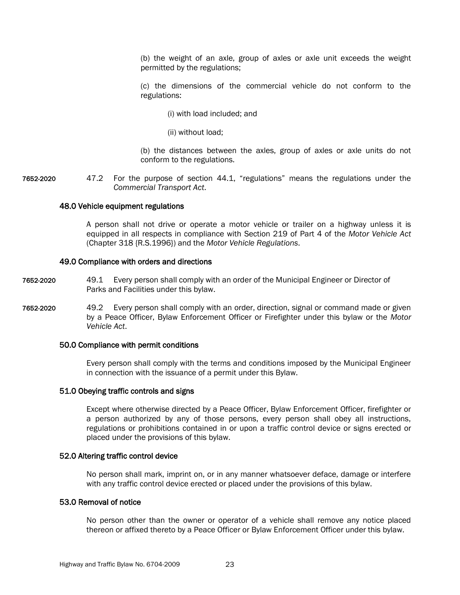(b) the weight of an axle, group of axles or axle unit exceeds the weight permitted by the regulations;

(c) the dimensions of the commercial vehicle do not conform to the regulations:

- (i) with load included; and
- (ii) without load;

(b) the distances between the axles, group of axles or axle units do not conform to the regulations.

7652-2020 47.2 For the purpose of section 44.1, "regulations" means the regulations under the *Commercial Transport Act*.

### 48.0 Vehicle equipment regulations

A person shall not drive or operate a motor vehicle or trailer on a highway unless it is equipped in all respects in compliance with Section 219 of Part 4 of the *Motor Vehicle Act* (Chapter 318 {R.S.1996}) and the *Motor Vehicle Regulations*.

#### 49.0 Compliance with orders and directions

- 7652-2020 49.1 Every person shall comply with an order of the Municipal Engineer or Director of Parks and Facilities under this bylaw.
- 7652-2020 49.2 Every person shall comply with an order, direction, signal or command made or given by a Peace Officer, Bylaw Enforcement Officer or Firefighter under this bylaw or the *Motor Vehicle Act*.

### 50.0 Compliance with permit conditions

Every person shall comply with the terms and conditions imposed by the Municipal Engineer in connection with the issuance of a permit under this Bylaw.

### 51.0 Obeying traffic controls and signs

Except where otherwise directed by a Peace Officer, Bylaw Enforcement Officer, firefighter or a person authorized by any of those persons, every person shall obey all instructions, regulations or prohibitions contained in or upon a traffic control device or signs erected or placed under the provisions of this bylaw.

### 52.0 Altering traffic control device

No person shall mark, imprint on, or in any manner whatsoever deface, damage or interfere with any traffic control device erected or placed under the provisions of this bylaw.

### 53.0 Removal of notice

No person other than the owner or operator of a vehicle shall remove any notice placed thereon or affixed thereto by a Peace Officer or Bylaw Enforcement Officer under this bylaw.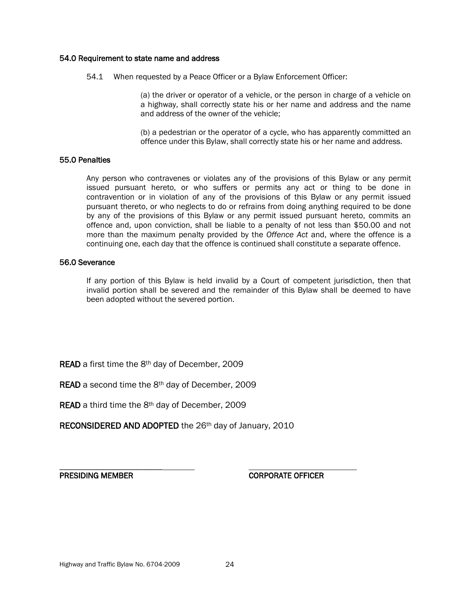### 54.0 Requirement to state name and address

54.1 When requested by a Peace Officer or a Bylaw Enforcement Officer:

(a) the driver or operator of a vehicle, or the person in charge of a vehicle on a highway, shall correctly state his or her name and address and the name and address of the owner of the vehicle;

(b) a pedestrian or the operator of a cycle, who has apparently committed an offence under this Bylaw, shall correctly state his or her name and address.

### 55.0 Penalties

Any person who contravenes or violates any of the provisions of this Bylaw or any permit issued pursuant hereto, or who suffers or permits any act or thing to be done in contravention or in violation of any of the provisions of this Bylaw or any permit issued pursuant thereto, or who neglects to do or refrains from doing anything required to be done by any of the provisions of this Bylaw or any permit issued pursuant hereto, commits an offence and, upon conviction, shall be liable to a penalty of not less than \$50.00 and not more than the maximum penalty provided by the *Offence Act* and, where the offence is a continuing one, each day that the offence is continued shall constitute a separate offence.

### 56.0 Severance

If any portion of this Bylaw is held invalid by a Court of competent jurisdiction, then that invalid portion shall be severed and the remainder of this Bylaw shall be deemed to have been adopted without the severed portion.

READ a first time the 8th day of December, 2009

READ a second time the 8th day of December, 2009

READ a third time the 8<sup>th</sup> day of December, 2009

RECONSIDERED AND ADOPTED the 26<sup>th</sup> day of January, 2010

\_\_\_\_\_\_\_\_\_\_\_\_\_\_\_\_\_\_\_\_\_\_\_\_\_

PRESIDING MEMBER CORPORATE OFFICER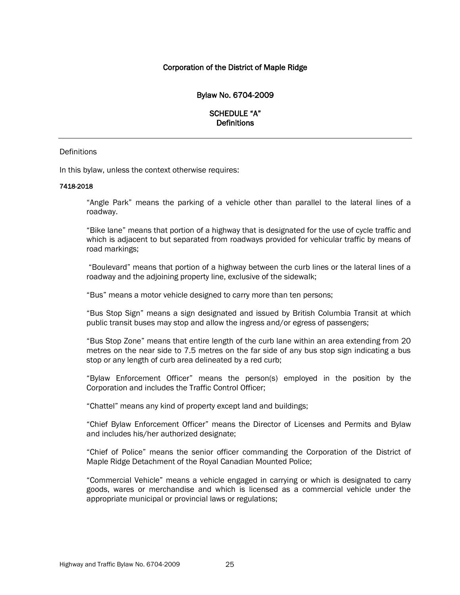### Corporation of the District of Maple Ridge

### Bylaw No. 6704-2009

### SCHEDULE "A" **Definitions**

### **Definitions**

In this bylaw, unless the context otherwise requires:

#### 7418-2018

"Angle Park" means the parking of a vehicle other than parallel to the lateral lines of a roadway.

"Bike lane" means that portion of a highway that is designated for the use of cycle traffic and which is adjacent to but separated from roadways provided for vehicular traffic by means of road markings;

"Boulevard" means that portion of a highway between the curb lines or the lateral lines of a roadway and the adjoining property line, exclusive of the sidewalk;

"Bus" means a motor vehicle designed to carry more than ten persons;

"Bus Stop Sign" means a sign designated and issued by British Columbia Transit at which public transit buses may stop and allow the ingress and/or egress of passengers;

"Bus Stop Zone" means that entire length of the curb lane within an area extending from 20 metres on the near side to 7.5 metres on the far side of any bus stop sign indicating a bus stop or any length of curb area delineated by a red curb;

"Bylaw Enforcement Officer" means the person(s) employed in the position by the Corporation and includes the Traffic Control Officer;

"Chattel" means any kind of property except land and buildings;

"Chief Bylaw Enforcement Officer" means the Director of Licenses and Permits and Bylaw and includes his/her authorized designate;

"Chief of Police" means the senior officer commanding the Corporation of the District of Maple Ridge Detachment of the Royal Canadian Mounted Police;

"Commercial Vehicle" means a vehicle engaged in carrying or which is designated to carry goods, wares or merchandise and which is licensed as a commercial vehicle under the appropriate municipal or provincial laws or regulations;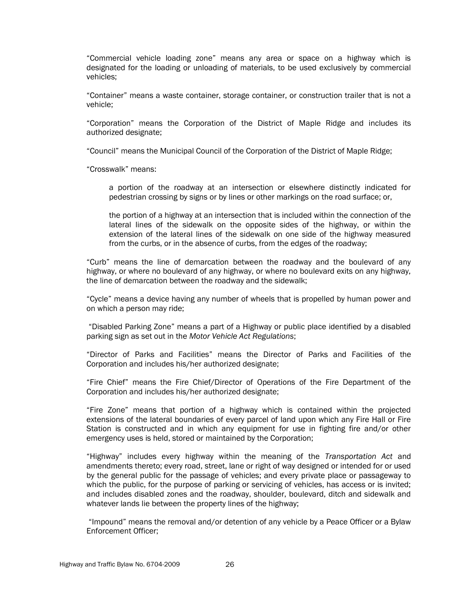"Commercial vehicle loading zone" means any area or space on a highway which is designated for the loading or unloading of materials, to be used exclusively by commercial vehicles;

"Container" means a waste container, storage container, or construction trailer that is not a vehicle;

"Corporation" means the Corporation of the District of Maple Ridge and includes its authorized designate;

"Council" means the Municipal Council of the Corporation of the District of Maple Ridge;

"Crosswalk" means:

a portion of the roadway at an intersection or elsewhere distinctly indicated for pedestrian crossing by signs or by lines or other markings on the road surface; or,

the portion of a highway at an intersection that is included within the connection of the lateral lines of the sidewalk on the opposite sides of the highway, or within the extension of the lateral lines of the sidewalk on one side of the highway measured from the curbs, or in the absence of curbs, from the edges of the roadway;

"Curb" means the line of demarcation between the roadway and the boulevard of any highway, or where no boulevard of any highway, or where no boulevard exits on any highway, the line of demarcation between the roadway and the sidewalk;

"Cycle" means a device having any number of wheels that is propelled by human power and on which a person may ride;

"Disabled Parking Zone" means a part of a Highway or public place identified by a disabled parking sign as set out in the *Motor Vehicle Act Regulations*;

"Director of Parks and Facilities" means the Director of Parks and Facilities of the Corporation and includes his/her authorized designate;

"Fire Chief" means the Fire Chief/Director of Operations of the Fire Department of the Corporation and includes his/her authorized designate;

"Fire Zone" means that portion of a highway which is contained within the projected extensions of the lateral boundaries of every parcel of land upon which any Fire Hall or Fire Station is constructed and in which any equipment for use in fighting fire and/or other emergency uses is held, stored or maintained by the Corporation;

"Highway" includes every highway within the meaning of the *Transportation Act* and amendments thereto; every road, street, lane or right of way designed or intended for or used by the general public for the passage of vehicles; and every private place or passageway to which the public, for the purpose of parking or servicing of vehicles, has access or is invited; and includes disabled zones and the roadway, shoulder, boulevard, ditch and sidewalk and whatever lands lie between the property lines of the highway;

"Impound" means the removal and/or detention of any vehicle by a Peace Officer or a Bylaw Enforcement Officer;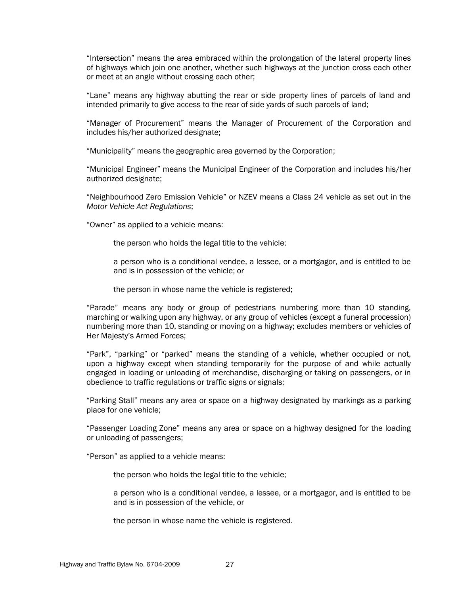"Intersection" means the area embraced within the prolongation of the lateral property lines of highways which join one another, whether such highways at the junction cross each other or meet at an angle without crossing each other;

"Lane" means any highway abutting the rear or side property lines of parcels of land and intended primarily to give access to the rear of side yards of such parcels of land;

"Manager of Procurement" means the Manager of Procurement of the Corporation and includes his/her authorized designate;

"Municipality" means the geographic area governed by the Corporation;

"Municipal Engineer" means the Municipal Engineer of the Corporation and includes his/her authorized designate;

"Neighbourhood Zero Emission Vehicle" or NZEV means a Class 24 vehicle as set out in the *Motor Vehicle Act Regulations*;

"Owner" as applied to a vehicle means:

the person who holds the legal title to the vehicle;

a person who is a conditional vendee, a lessee, or a mortgagor, and is entitled to be and is in possession of the vehicle; or

the person in whose name the vehicle is registered;

"Parade" means any body or group of pedestrians numbering more than 10 standing, marching or walking upon any highway, or any group of vehicles (except a funeral procession) numbering more than 10, standing or moving on a highway; excludes members or vehicles of Her Majesty's Armed Forces;

"Park", "parking" or "parked" means the standing of a vehicle, whether occupied or not, upon a highway except when standing temporarily for the purpose of and while actually engaged in loading or unloading of merchandise, discharging or taking on passengers, or in obedience to traffic regulations or traffic signs or signals;

"Parking Stall" means any area or space on a highway designated by markings as a parking place for one vehicle;

"Passenger Loading Zone" means any area or space on a highway designed for the loading or unloading of passengers;

"Person" as applied to a vehicle means:

the person who holds the legal title to the vehicle;

a person who is a conditional vendee, a lessee, or a mortgagor, and is entitled to be and is in possession of the vehicle, or

the person in whose name the vehicle is registered.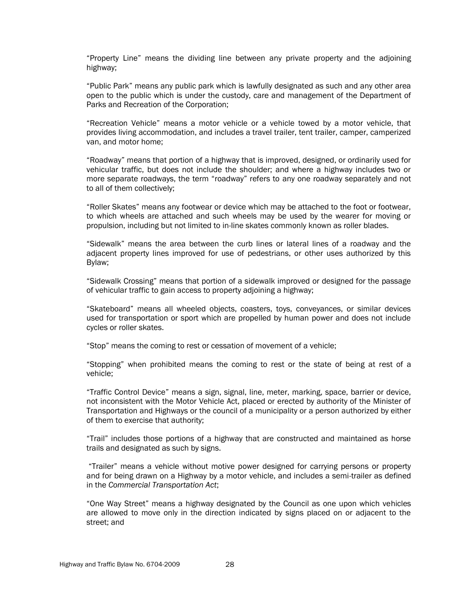"Property Line" means the dividing line between any private property and the adjoining highway;

"Public Park" means any public park which is lawfully designated as such and any other area open to the public which is under the custody, care and management of the Department of Parks and Recreation of the Corporation;

"Recreation Vehicle" means a motor vehicle or a vehicle towed by a motor vehicle, that provides living accommodation, and includes a travel trailer, tent trailer, camper, camperized van, and motor home;

"Roadway" means that portion of a highway that is improved, designed, or ordinarily used for vehicular traffic, but does not include the shoulder; and where a highway includes two or more separate roadways, the term "roadway" refers to any one roadway separately and not to all of them collectively;

"Roller Skates" means any footwear or device which may be attached to the foot or footwear, to which wheels are attached and such wheels may be used by the wearer for moving or propulsion, including but not limited to in-line skates commonly known as roller blades.

"Sidewalk" means the area between the curb lines or lateral lines of a roadway and the adjacent property lines improved for use of pedestrians, or other uses authorized by this Bylaw;

"Sidewalk Crossing" means that portion of a sidewalk improved or designed for the passage of vehicular traffic to gain access to property adjoining a highway;

"Skateboard" means all wheeled objects, coasters, toys, conveyances, or similar devices used for transportation or sport which are propelled by human power and does not include cycles or roller skates.

"Stop" means the coming to rest or cessation of movement of a vehicle;

"Stopping" when prohibited means the coming to rest or the state of being at rest of a vehicle;

"Traffic Control Device" means a sign, signal, line, meter, marking, space, barrier or device, not inconsistent with the Motor Vehicle Act, placed or erected by authority of the Minister of Transportation and Highways or the council of a municipality or a person authorized by either of them to exercise that authority;

"Trail" includes those portions of a highway that are constructed and maintained as horse trails and designated as such by signs.

"Trailer" means a vehicle without motive power designed for carrying persons or property and for being drawn on a Highway by a motor vehicle, and includes a semi-trailer as defined in the *Commercial Transportation Act*;

"One Way Street" means a highway designated by the Council as one upon which vehicles are allowed to move only in the direction indicated by signs placed on or adjacent to the street; and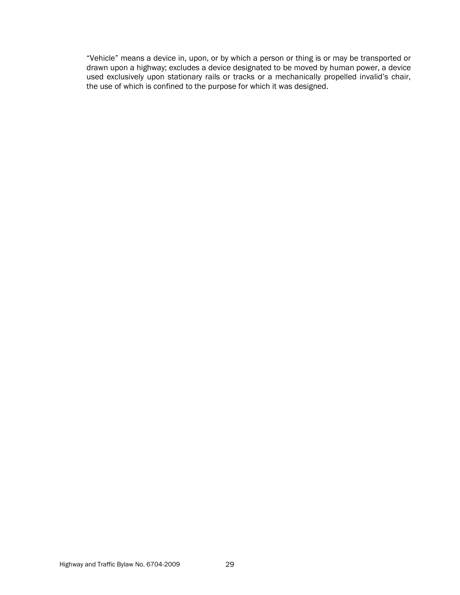"Vehicle" means a device in, upon, or by which a person or thing is or may be transported or drawn upon a highway; excludes a device designated to be moved by human power, a device used exclusively upon stationary rails or tracks or a mechanically propelled invalid's chair, the use of which is confined to the purpose for which it was designed.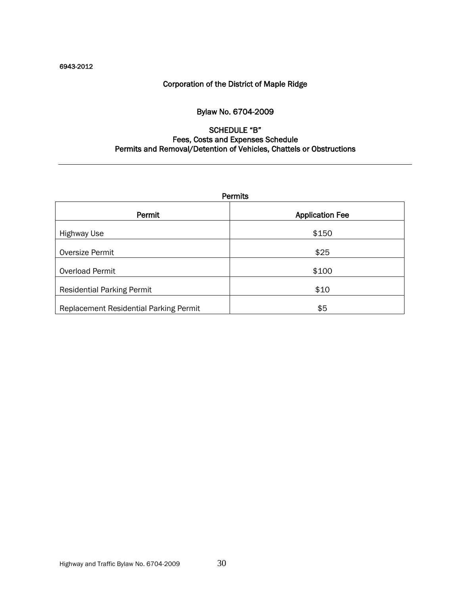### 6943-2012

# Corporation of the District of Maple Ridge

# Bylaw No. 6704-2009

# SCHEDULE "B" Fees, Costs and Expenses Schedule Permits and Removal/Detention of Vehicles, Chattels or Obstructions

| Permits                                       |                        |  |  |
|-----------------------------------------------|------------------------|--|--|
| Permit                                        | <b>Application Fee</b> |  |  |
| <b>Highway Use</b>                            | \$150                  |  |  |
| Oversize Permit                               | \$25                   |  |  |
| Overload Permit                               | \$100                  |  |  |
| <b>Residential Parking Permit</b>             | \$10                   |  |  |
| <b>Replacement Residential Parking Permit</b> | \$5                    |  |  |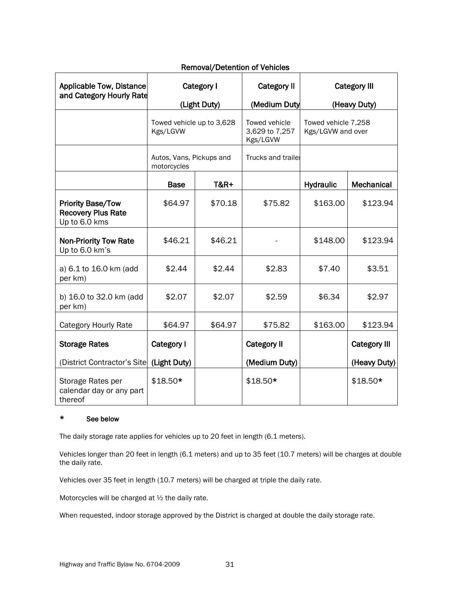| <b>Applicable Tow, Distance</b>                                        | Category I                              |                 | <b>Category II</b>                          | <b>Category III</b>                      |                     |
|------------------------------------------------------------------------|-----------------------------------------|-----------------|---------------------------------------------|------------------------------------------|---------------------|
| and Category Hourly Rate                                               | (Light Duty)                            |                 | (Medium Duty                                | (Heavy Duty)                             |                     |
|                                                                        | Towed vehicle up to 3,628<br>Kgs/LGVW   |                 | Towed vehicle<br>3,629 to 7,257<br>Kgs/LGVW | Towed vehicle 7,258<br>Kgs/LGVW and over |                     |
|                                                                        | Autos, Vans, Pickups and<br>motorcycles |                 | Trucks and trailer                          |                                          |                     |
|                                                                        | <b>Base</b>                             | <b>T&amp;R+</b> |                                             | <b>Hydraulic</b>                         | Mechanical          |
| <b>Priority Base/Tow</b><br><b>Recovery Plus Rate</b><br>Up to 6.0 kms | \$64.97                                 | \$70.18         | \$75.82                                     | \$163.00                                 | \$123.94            |
| <b>Non-Priority Tow Rate</b><br>Up to 6.0 km's                         | \$46.21                                 | \$46.21         |                                             | \$148.00                                 | \$123.94            |
| a) 6.1 to 16.0 km (add<br>per km)                                      | \$2.44                                  | \$2.44          | \$2.83                                      | \$7.40                                   | \$3.51              |
| b) 16.0 to 32.0 km (add<br>per km)                                     | \$2.07                                  | \$2.07          | \$2.59                                      | \$6.34                                   | \$2.97              |
| <b>Category Hourly Rate</b>                                            | \$64.97                                 | \$64.97         | \$75.82                                     | \$163.00                                 | \$123.94            |
| <b>Storage Rates</b>                                                   | Category I                              |                 | <b>Category II</b>                          |                                          | <b>Category III</b> |
| (District Contractor's Site                                            | (Light Duty)                            |                 | (Medium Duty)                               |                                          | (Heavy Duty)        |
| Storage Rates per<br>calendar day or any part<br>thereof               | $$18.50*$                               |                 | $$18.50*$                                   |                                          | $$18.50*$           |

# Removal/Detention of Vehicles

### \* See below

The daily storage rate applies for vehicles up to 20 feet in length (6.1 meters).

Vehicles longer than 20 feet in length (6.1 meters) and up to 35 feet (10.7 meters) will be charges at double the daily rate.

Vehicles over 35 feet in length (10.7 meters) will be charged at triple the daily rate.

Motorcycles will be charged at ½ the daily rate.

When requested, indoor storage approved by the District is charged at double the daily storage rate.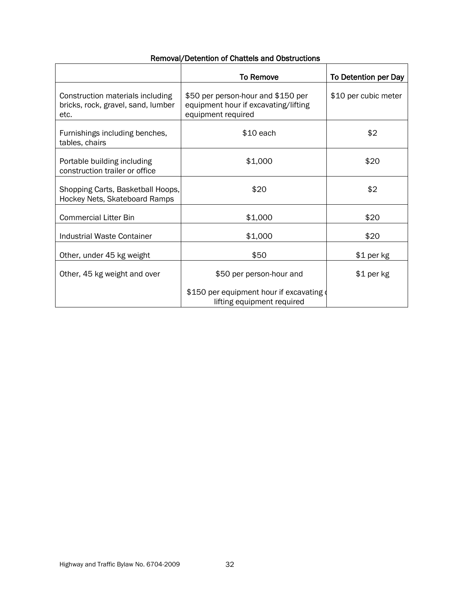| Removal/Detention of Chattels and Obstructions |  |  |
|------------------------------------------------|--|--|
|------------------------------------------------|--|--|

|                                                                                | <b>To Remove</b>                                                                                 | To Detention per Day |
|--------------------------------------------------------------------------------|--------------------------------------------------------------------------------------------------|----------------------|
| Construction materials including<br>bricks, rock, gravel, sand, lumber<br>etc. | \$50 per person-hour and \$150 per<br>equipment hour if excavating/lifting<br>equipment required | \$10 per cubic meter |
| Furnishings including benches,<br>tables, chairs                               | $$10$ each                                                                                       | \$2                  |
| Portable building including<br>construction trailer or office                  | \$1,000                                                                                          | \$20                 |
| Shopping Carts, Basketball Hoops,<br>Hockey Nets, Skateboard Ramps             | \$20                                                                                             | \$2                  |
| <b>Commercial Litter Bin</b>                                                   | \$1,000                                                                                          | \$20                 |
| <b>Industrial Waste Container</b>                                              | \$1,000                                                                                          | \$20                 |
| Other, under 45 kg weight                                                      | \$50                                                                                             | $$1$ per kg          |
| Other, 45 kg weight and over                                                   | \$50 per person-hour and                                                                         | \$1 per kg           |
|                                                                                | \$150 per equipment hour if excavating<br>lifting equipment required                             |                      |

r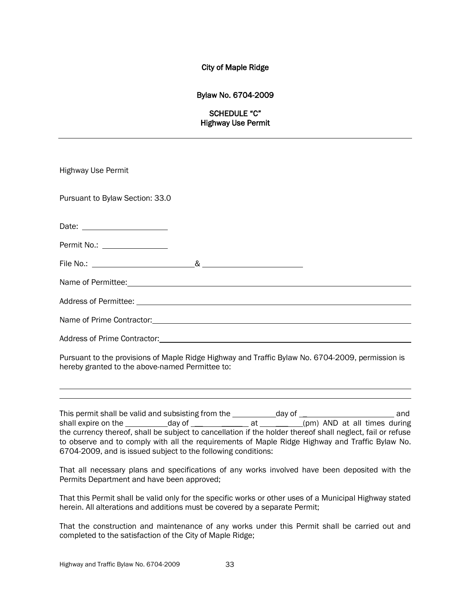### City of Maple Ridge

### Bylaw No. 6704-2009

### SCHEDULE "C" Highway Use Permit

| <b>Highway Use Permit</b>                                                                            |  |
|------------------------------------------------------------------------------------------------------|--|
| Pursuant to Bylaw Section: 33.0                                                                      |  |
|                                                                                                      |  |
| Permit No.: _________________                                                                        |  |
|                                                                                                      |  |
|                                                                                                      |  |
|                                                                                                      |  |
|                                                                                                      |  |
| Address of Prime Contractor: Manual Address of Prime Contractor: Manual Address of Prime Contractor: |  |
| Pursuant to the provisions of Maple Ridge Highway and Traffic Bylaw No. 6704-2009, permission is     |  |

Pursuant to the provisions of Maple Ridge Highway and Traffic Bylaw No. 6704-2009, permission is hereby granted to the above-named Permittee to:

This permit shall be valid and subsisting from the day of \_ and shall expire on the  $\_\_\_\_\_$  day of  $\_\_\_\_\_\_\_$  at  $\_\_\_\_\_$ (pm) AND at all times during the currency thereof, shall be subject to cancellation if the holder thereof shall neglect, fail or refuse to observe and to comply with all the requirements of Maple Ridge Highway and Traffic Bylaw No. 6704-2009, and is issued subject to the following conditions:

That all necessary plans and specifications of any works involved have been deposited with the Permits Department and have been approved;

That this Permit shall be valid only for the specific works or other uses of a Municipal Highway stated herein. All alterations and additions must be covered by a separate Permit;

That the construction and maintenance of any works under this Permit shall be carried out and completed to the satisfaction of the City of Maple Ridge;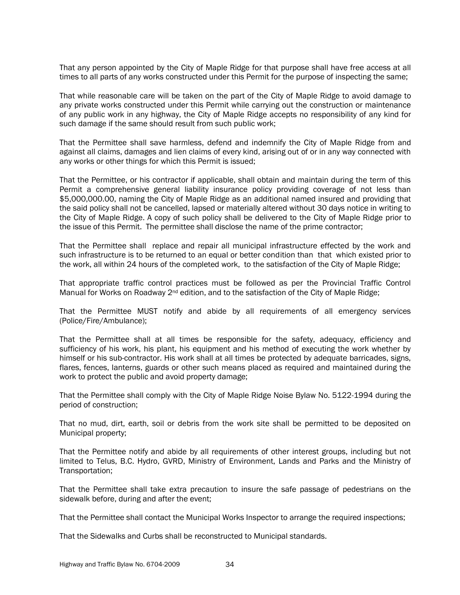That any person appointed by the City of Maple Ridge for that purpose shall have free access at all times to all parts of any works constructed under this Permit for the purpose of inspecting the same;

That while reasonable care will be taken on the part of the City of Maple Ridge to avoid damage to any private works constructed under this Permit while carrying out the construction or maintenance of any public work in any highway, the City of Maple Ridge accepts no responsibility of any kind for such damage if the same should result from such public work;

That the Permittee shall save harmless, defend and indemnify the City of Maple Ridge from and against all claims, damages and lien claims of every kind, arising out of or in any way connected with any works or other things for which this Permit is issued;

That the Permittee, or his contractor if applicable, shall obtain and maintain during the term of this Permit a comprehensive general liability insurance policy providing coverage of not less than \$5,000,000.00, naming the City of Maple Ridge as an additional named insured and providing that the said policy shall not be cancelled, lapsed or materially altered without 30 days notice in writing to the City of Maple Ridge. A copy of such policy shall be delivered to the City of Maple Ridge prior to the issue of this Permit. The permittee shall disclose the name of the prime contractor;

That the Permittee shall replace and repair all municipal infrastructure effected by the work and such infrastructure is to be returned to an equal or better condition than that which existed prior to the work, all within 24 hours of the completed work, to the satisfaction of the City of Maple Ridge;

That appropriate traffic control practices must be followed as per the Provincial Traffic Control Manual for Works on Roadway  $2^{nd}$  edition, and to the satisfaction of the City of Maple Ridge;

That the Permittee MUST notify and abide by all requirements of all emergency services (Police/Fire/Ambulance);

That the Permittee shall at all times be responsible for the safety, adequacy, efficiency and sufficiency of his work, his plant, his equipment and his method of executing the work whether by himself or his sub-contractor. His work shall at all times be protected by adequate barricades, signs, flares, fences, lanterns, guards or other such means placed as required and maintained during the work to protect the public and avoid property damage;

That the Permittee shall comply with the City of Maple Ridge Noise Bylaw No. 5122-1994 during the period of construction;

That no mud, dirt, earth, soil or debris from the work site shall be permitted to be deposited on Municipal property;

That the Permittee notify and abide by all requirements of other interest groups, including but not limited to Telus, B.C. Hydro, GVRD, Ministry of Environment, Lands and Parks and the Ministry of Transportation;

That the Permittee shall take extra precaution to insure the safe passage of pedestrians on the sidewalk before, during and after the event;

That the Permittee shall contact the Municipal Works Inspector to arrange the required inspections;

That the Sidewalks and Curbs shall be reconstructed to Municipal standards.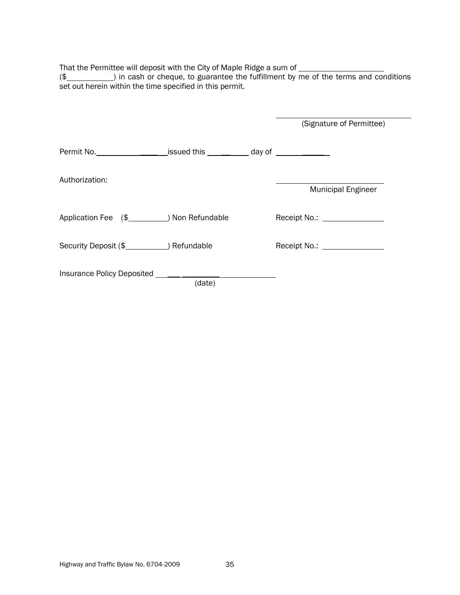That the Permittee will deposit with the City of Maple Ridge a sum of

(\$ set out herein within the time specified in this permit.

|                                                                                  |        | (Signature of Permittee)  |
|----------------------------------------------------------------------------------|--------|---------------------------|
| Permit No. _____________________issued this ____________ day of ________________ |        |                           |
| Authorization:                                                                   |        | <b>Municipal Engineer</b> |
| Application Fee (\$ _____________) Non Refundable                                |        |                           |
| Security Deposit (\$ 1.442) Refundable                                           |        |                           |
|                                                                                  | (date) |                           |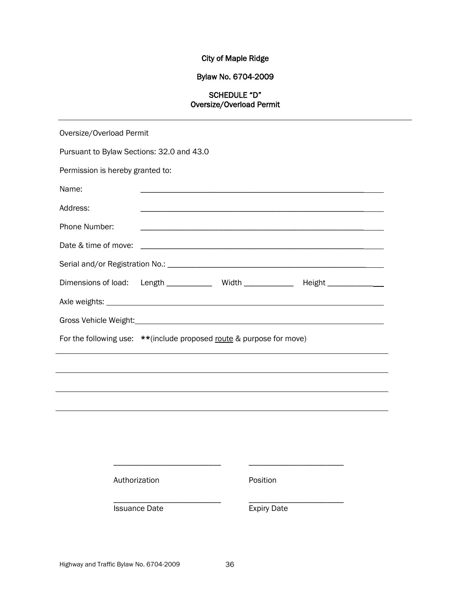# City of Maple Ridge

# Bylaw No. 6704-2009

# SCHEDULE "D" Oversize/Overload Permit

| Oversize/Overload Permit                                                     |                                                                                                                                                                                                                                |                    |  |  |  |  |
|------------------------------------------------------------------------------|--------------------------------------------------------------------------------------------------------------------------------------------------------------------------------------------------------------------------------|--------------------|--|--|--|--|
| Pursuant to Bylaw Sections: 32.0 and 43.0                                    |                                                                                                                                                                                                                                |                    |  |  |  |  |
| Permission is hereby granted to:                                             |                                                                                                                                                                                                                                |                    |  |  |  |  |
| Name:                                                                        |                                                                                                                                                                                                                                |                    |  |  |  |  |
| Address:                                                                     |                                                                                                                                                                                                                                |                    |  |  |  |  |
| Phone Number:                                                                |                                                                                                                                                                                                                                |                    |  |  |  |  |
| Date & time of move:                                                         |                                                                                                                                                                                                                                |                    |  |  |  |  |
|                                                                              |                                                                                                                                                                                                                                |                    |  |  |  |  |
| Dimensions of load:                                                          | Length _______________ Width _______________ Height _______________                                                                                                                                                            |                    |  |  |  |  |
|                                                                              |                                                                                                                                                                                                                                |                    |  |  |  |  |
|                                                                              | Gross Vehicle Weight: Management of the Contract of the Contract of the Contract of the Contract of the Contract of the Contract of the Contract of the Contract of the Contract of the Contract of the Contract of the Contra |                    |  |  |  |  |
| For the following use: ** (include proposed <u>route</u> & purpose for move) |                                                                                                                                                                                                                                |                    |  |  |  |  |
|                                                                              |                                                                                                                                                                                                                                |                    |  |  |  |  |
|                                                                              |                                                                                                                                                                                                                                |                    |  |  |  |  |
|                                                                              |                                                                                                                                                                                                                                |                    |  |  |  |  |
|                                                                              |                                                                                                                                                                                                                                |                    |  |  |  |  |
|                                                                              |                                                                                                                                                                                                                                |                    |  |  |  |  |
|                                                                              |                                                                                                                                                                                                                                |                    |  |  |  |  |
|                                                                              |                                                                                                                                                                                                                                |                    |  |  |  |  |
|                                                                              | Authorization                                                                                                                                                                                                                  | Position           |  |  |  |  |
|                                                                              | <b>Issuance Date</b>                                                                                                                                                                                                           | <b>Expiry Date</b> |  |  |  |  |